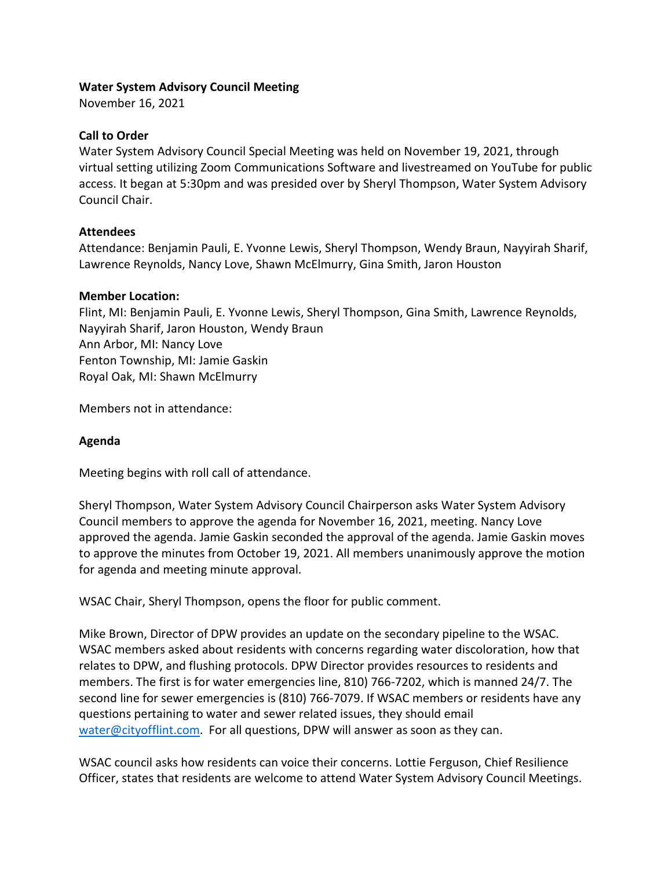### **Water System Advisory Council Meeting**

November 16, 2021

### **Call to Order**

Water System Advisory Council Special Meeting was held on November 19, 2021, through virtual setting utilizing Zoom Communications Software and livestreamed on YouTube for public access. It began at 5:30pm and was presided over by Sheryl Thompson, Water System Advisory Council Chair.

## **Attendees**

Attendance: Benjamin Pauli, E. Yvonne Lewis, Sheryl Thompson, Wendy Braun, Nayyirah Sharif, Lawrence Reynolds, Nancy Love, Shawn McElmurry, Gina Smith, Jaron Houston

### **Member Location:**

Flint, MI: Benjamin Pauli, E. Yvonne Lewis, Sheryl Thompson, Gina Smith, Lawrence Reynolds, Nayyirah Sharif, Jaron Houston, Wendy Braun Ann Arbor, MI: Nancy Love Fenton Township, MI: Jamie Gaskin Royal Oak, MI: Shawn McElmurry

Members not in attendance:

# **Agenda**

Meeting begins with roll call of attendance.

Sheryl Thompson, Water System Advisory Council Chairperson asks Water System Advisory Council members to approve the agenda for November 16, 2021, meeting. Nancy Love approved the agenda. Jamie Gaskin seconded the approval of the agenda. Jamie Gaskin moves to approve the minutes from October 19, 2021. All members unanimously approve the motion for agenda and meeting minute approval.

WSAC Chair, Sheryl Thompson, opens the floor for public comment.

Mike Brown, Director of DPW provides an update on the secondary pipeline to the WSAC. WSAC members asked about residents with concerns regarding water discoloration, how that relates to DPW, and flushing protocols. DPW Director provides resources to residents and members. The first is for water emergencies line, 810) 766-7202, which is manned 24/7. The second line for sewer emergencies is (810) 766-7079. If WSAC members or residents have any questions pertaining to water and sewer related issues, they should email [water@cityofflint.com.](mailto:water@cityofflint.com) For all questions, DPW will answer as soon as they can.

WSAC council asks how residents can voice their concerns. Lottie Ferguson, Chief Resilience Officer, states that residents are welcome to attend Water System Advisory Council Meetings.